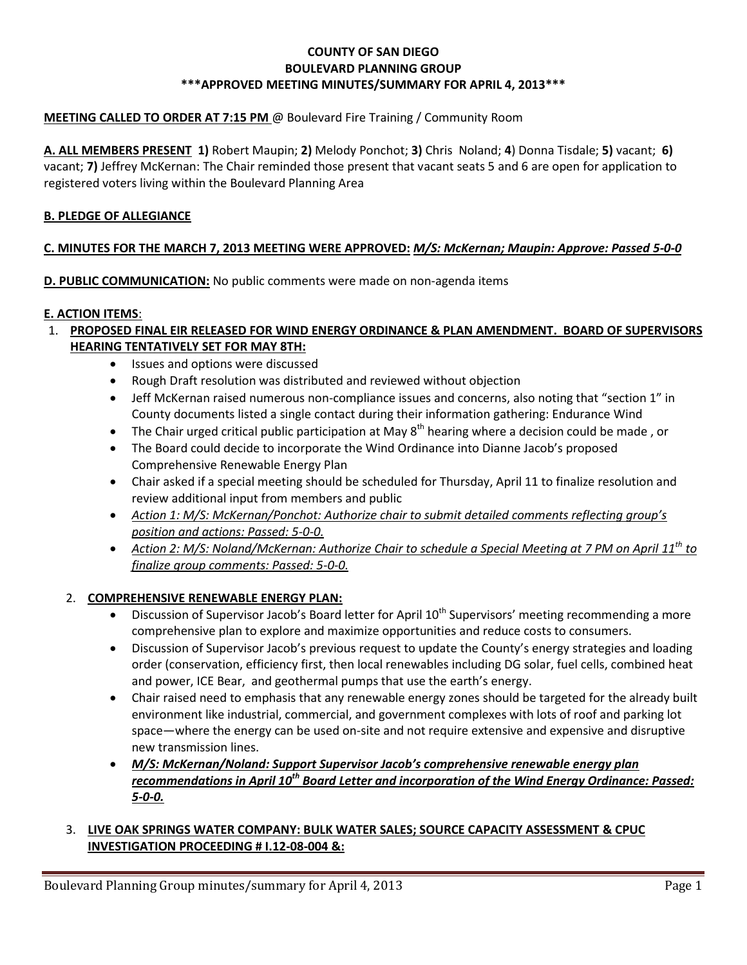#### **COUNTY OF SAN DIEGO BOULEVARD PLANNING GROUP \*\*\*APPROVED MEETING MINUTES/SUMMARY FOR APRIL 4, 2013\*\*\***

# **MEETING CALLED TO ORDER AT 7:15 PM** @ Boulevard Fire Training / Community Room

**A. ALL MEMBERS PRESENT 1)** Robert Maupin; **2)** Melody Ponchot; **3)** Chris Noland; **4**) Donna Tisdale; **5)** vacant; **6)** vacant; **7)** Jeffrey McKernan: The Chair reminded those present that vacant seats 5 and 6 are open for application to registered voters living within the Boulevard Planning Area

#### **B. PLEDGE OF ALLEGIANCE**

#### **C. MINUTES FOR THE MARCH 7, 2013 MEETING WERE APPROVED:** *M/S: McKernan; Maupin: Approve: Passed 5-0-0*

**D. PUBLIC COMMUNICATION:** No public comments were made on non-agenda items

#### **E. ACTION ITEMS**:

- 1. **PROPOSED FINAL EIR RELEASED FOR WIND ENERGY ORDINANCE & PLAN AMENDMENT. BOARD OF SUPERVISORS HEARING TENTATIVELY SET FOR MAY 8TH:**
	- Issues and options were discussed
	- Rough Draft resolution was distributed and reviewed without objection
	- Jeff McKernan raised numerous non-compliance issues and concerns, also noting that "section 1" in County documents listed a single contact during their information gathering: Endurance Wind
	- The Chair urged critical public participation at May  $8^{th}$  hearing where a decision could be made, or
	- The Board could decide to incorporate the Wind Ordinance into Dianne Jacob's proposed Comprehensive Renewable Energy Plan
	- Chair asked if a special meeting should be scheduled for Thursday, April 11 to finalize resolution and review additional input from members and public
	- *Action 1: M/S: McKernan/Ponchot: Authorize chair to submit detailed comments reflecting group's position and actions: Passed: 5-0-0.*
	- *Action 2: M/S: Noland/McKernan: Authorize Chair to schedule a Special Meeting at 7 PM on April 11th to finalize group comments: Passed: 5-0-0.*

#### 2. **COMPREHENSIVE RENEWABLE ENERGY PLAN:**

- Discussion of Supervisor Jacob's Board letter for April 10<sup>th</sup> Supervisors' meeting recommending a more comprehensive plan to explore and maximize opportunities and reduce costs to consumers.
- Discussion of Supervisor Jacob's previous request to update the County's energy strategies and loading order (conservation, efficiency first, then local renewables including DG solar, fuel cells, combined heat and power, ICE Bear, and geothermal pumps that use the earth's energy.
- Chair raised need to emphasis that any renewable energy zones should be targeted for the already built environment like industrial, commercial, and government complexes with lots of roof and parking lot space—where the energy can be used on-site and not require extensive and expensive and disruptive new transmission lines.
- *M/S: McKernan/Noland: Support Supervisor Jacob's comprehensive renewable energy plan recommendations in April 10th Board Letter and incorporation of the Wind Energy Ordinance: Passed: 5-0-0.*

#### 3. **LIVE OAK SPRINGS WATER COMPANY: BULK WATER SALES; SOURCE CAPACITY ASSESSMENT & CPUC INVESTIGATION PROCEEDING # I.12-08-004 &:**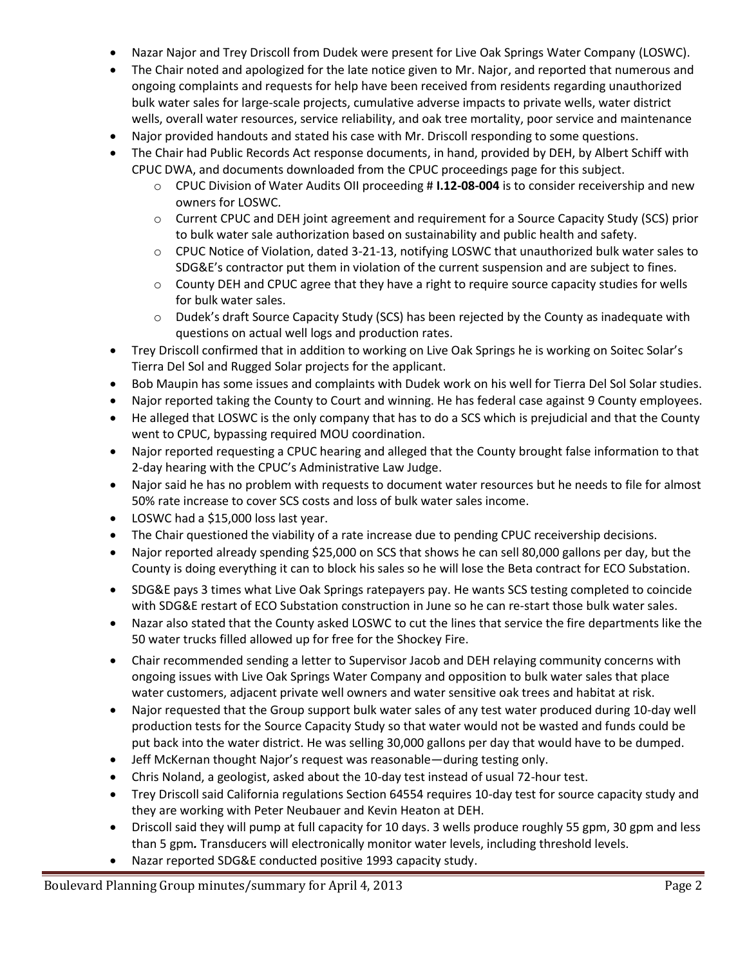- Nazar Najor and Trey Driscoll from Dudek were present for Live Oak Springs Water Company (LOSWC).
- The Chair noted and apologized for the late notice given to Mr. Najor, and reported that numerous and ongoing complaints and requests for help have been received from residents regarding unauthorized bulk water sales for large-scale projects, cumulative adverse impacts to private wells, water district wells, overall water resources, service reliability, and oak tree mortality, poor service and maintenance
- Najor provided handouts and stated his case with Mr. Driscoll responding to some questions.
- The Chair had Public Records Act response documents, in hand, provided by DEH, by Albert Schiff with CPUC DWA, and documents downloaded from the CPUC proceedings page for this subject.
	- o CPUC Division of Water Audits OII proceeding # **I.12-08-004** is to consider receivership and new owners for LOSWC.
	- $\circ$  Current CPUC and DEH joint agreement and requirement for a Source Capacity Study (SCS) prior to bulk water sale authorization based on sustainability and public health and safety.
	- o CPUC Notice of Violation, dated 3-21-13, notifying LOSWC that unauthorized bulk water sales to SDG&E's contractor put them in violation of the current suspension and are subject to fines.
	- $\circ$  County DEH and CPUC agree that they have a right to require source capacity studies for wells for bulk water sales.
	- $\circ$  Dudek's draft Source Capacity Study (SCS) has been rejected by the County as inadequate with questions on actual well logs and production rates.
- Trey Driscoll confirmed that in addition to working on Live Oak Springs he is working on Soitec Solar's Tierra Del Sol and Rugged Solar projects for the applicant.
- Bob Maupin has some issues and complaints with Dudek work on his well for Tierra Del Sol Solar studies.
- Najor reported taking the County to Court and winning. He has federal case against 9 County employees.
- He alleged that LOSWC is the only company that has to do a SCS which is prejudicial and that the County went to CPUC, bypassing required MOU coordination.
- Najor reported requesting a CPUC hearing and alleged that the County brought false information to that 2-day hearing with the CPUC's Administrative Law Judge.
- Najor said he has no problem with requests to document water resources but he needs to file for almost 50% rate increase to cover SCS costs and loss of bulk water sales income.
- LOSWC had a \$15,000 loss last year.
- The Chair questioned the viability of a rate increase due to pending CPUC receivership decisions.
- Najor reported already spending \$25,000 on SCS that shows he can sell 80,000 gallons per day, but the County is doing everything it can to block his sales so he will lose the Beta contract for ECO Substation.
- SDG&E pays 3 times what Live Oak Springs ratepayers pay. He wants SCS testing completed to coincide with SDG&E restart of ECO Substation construction in June so he can re-start those bulk water sales.
- Nazar also stated that the County asked LOSWC to cut the lines that service the fire departments like the 50 water trucks filled allowed up for free for the Shockey Fire.
- Chair recommended sending a letter to Supervisor Jacob and DEH relaying community concerns with ongoing issues with Live Oak Springs Water Company and opposition to bulk water sales that place water customers, adjacent private well owners and water sensitive oak trees and habitat at risk.
- Najor requested that the Group support bulk water sales of any test water produced during 10-day well production tests for the Source Capacity Study so that water would not be wasted and funds could be put back into the water district. He was selling 30,000 gallons per day that would have to be dumped.
- Jeff McKernan thought Najor's request was reasonable—during testing only.
- Chris Noland, a geologist, asked about the 10-day test instead of usual 72-hour test.
- Trey Driscoll said California regulations Section 64554 requires 10-day test for source capacity study and they are working with Peter Neubauer and Kevin Heaton at DEH.
- Driscoll said they will pump at full capacity for 10 days. 3 wells produce roughly 55 gpm, 30 gpm and less than 5 gpm*.* Transducers will electronically monitor water levels, including threshold levels.
- Nazar reported SDG&E conducted positive 1993 capacity study.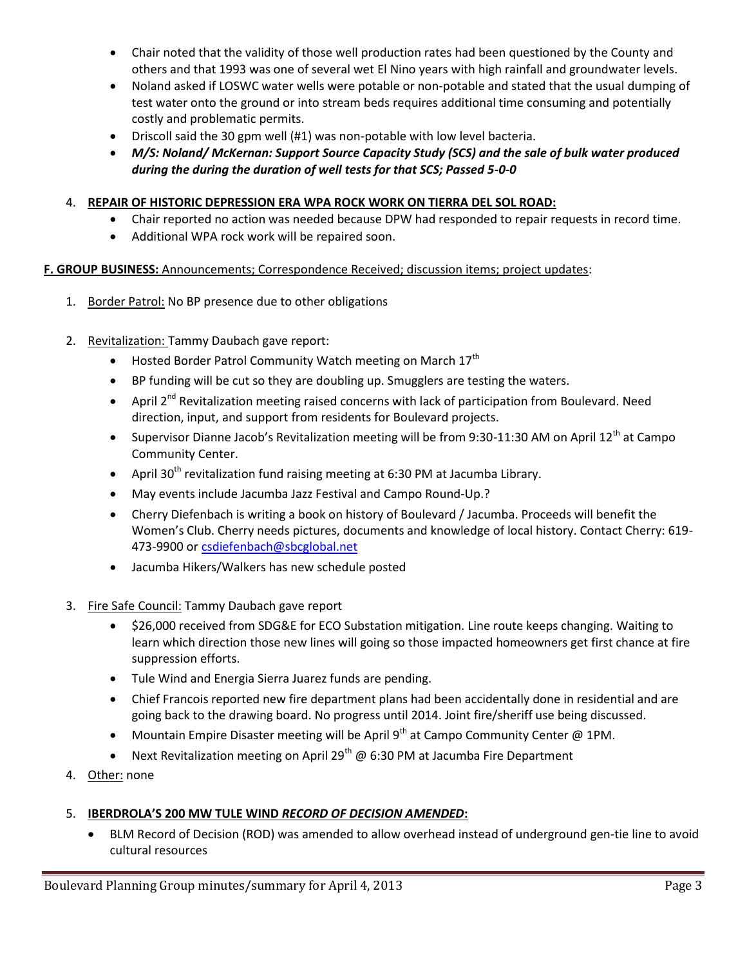- Chair noted that the validity of those well production rates had been questioned by the County and others and that 1993 was one of several wet El Nino years with high rainfall and groundwater levels.
- Noland asked if LOSWC water wells were potable or non-potable and stated that the usual dumping of test water onto the ground or into stream beds requires additional time consuming and potentially costly and problematic permits.
- Driscoll said the 30 gpm well (#1) was non-potable with low level bacteria.
- *M/S: Noland/ McKernan: Support Source Capacity Study (SCS) and the sale of bulk water produced during the during the duration of well tests for that SCS; Passed 5-0-0*

## 4. **REPAIR OF HISTORIC DEPRESSION ERA WPA ROCK WORK ON TIERRA DEL SOL ROAD:**

- Chair reported no action was needed because DPW had responded to repair requests in record time.
- Additional WPA rock work will be repaired soon.

#### **F. GROUP BUSINESS:** Announcements; Correspondence Received; discussion items; project updates:

- 1. Border Patrol: No BP presence due to other obligations
- 2. Revitalization: Tammy Daubach gave report:
	- $\bullet$  Hosted Border Patrol Community Watch meeting on March 17<sup>th</sup>
	- BP funding will be cut so they are doubling up. Smugglers are testing the waters.
	- $\bullet$  April 2<sup>nd</sup> Revitalization meeting raised concerns with lack of participation from Boulevard. Need direction, input, and support from residents for Boulevard projects.
	- Supervisor Dianne Jacob's Revitalization meeting will be from 9:30-11:30 AM on April 12<sup>th</sup> at Campo Community Center.
	- April 30<sup>th</sup> revitalization fund raising meeting at 6:30 PM at Jacumba Library.
	- May events include Jacumba Jazz Festival and Campo Round-Up.?
	- Cherry Diefenbach is writing a book on history of Boulevard / Jacumba. Proceeds will benefit the Women's Club. Cherry needs pictures, documents and knowledge of local history. Contact Cherry: 619- 473-9900 or csdiefenbach@sbcglobal.net
	- Jacumba Hikers/Walkers has new schedule posted
- 3. Fire Safe Council: Tammy Daubach gave report
	- \$26,000 received from SDG&E for ECO Substation mitigation. Line route keeps changing. Waiting to learn which direction those new lines will going so those impacted homeowners get first chance at fire suppression efforts.
	- Tule Wind and Energia Sierra Juarez funds are pending.
	- Chief Francois reported new fire department plans had been accidentally done in residential and are going back to the drawing board. No progress until 2014. Joint fire/sheriff use being discussed.
	- Mountain Empire Disaster meeting will be April 9<sup>th</sup> at Campo Community Center @ 1PM.
	- Next Revitalization meeting on April 29<sup>th</sup> @ 6:30 PM at Jacumba Fire Department
- 4. Other: none

#### 5. **IBERDROLA'S 200 MW TULE WIND** *RECORD OF DECISION AMENDED***:**

 BLM Record of Decision (ROD) was amended to allow overhead instead of underground gen-tie line to avoid cultural resources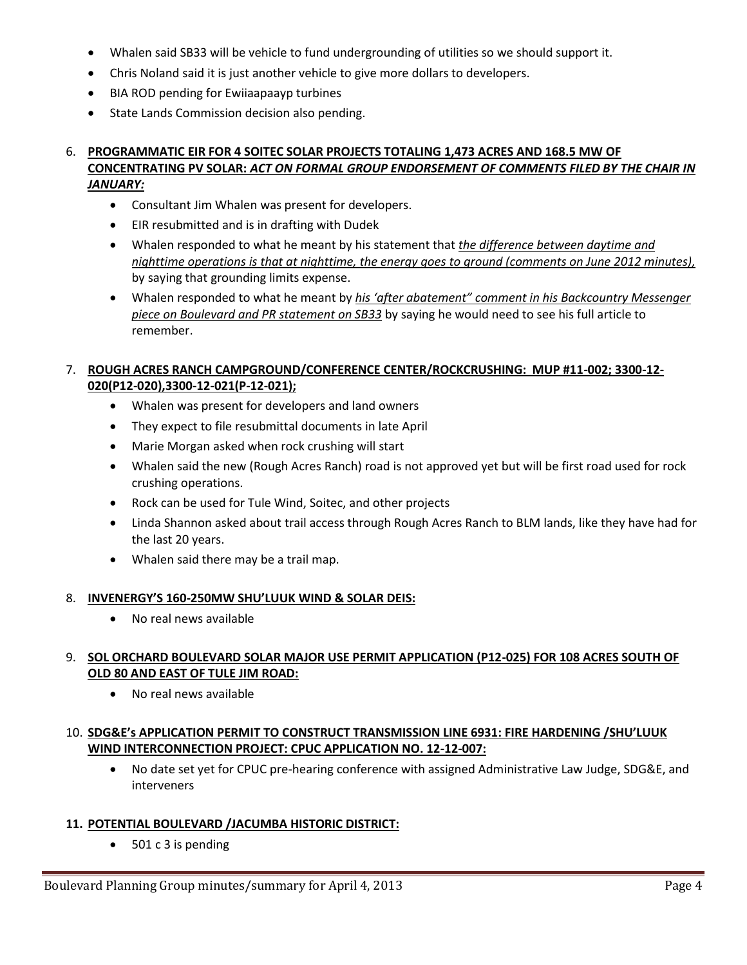- Whalen said SB33 will be vehicle to fund undergrounding of utilities so we should support it.
- Chris Noland said it is just another vehicle to give more dollars to developers.
- BIA ROD pending for Ewiiaapaayp turbines
- State Lands Commission decision also pending.

#### 6. **PROGRAMMATIC EIR FOR 4 SOITEC SOLAR PROJECTS TOTALING 1,473 ACRES AND 168.5 MW OF CONCENTRATING PV SOLAR:** *ACT ON FORMAL GROUP ENDORSEMENT OF COMMENTS FILED BY THE CHAIR IN JANUARY:*

- Consultant Jim Whalen was present for developers.
- EIR resubmitted and is in drafting with Dudek
- Whalen responded to what he meant by his statement that *the difference between daytime and nighttime operations is that at nighttime, the energy goes to ground (comments on June 2012 minutes),*  by saying that grounding limits expense.
- Whalen responded to what he meant by *his 'after abatement" comment in his Backcountry Messenger piece on Boulevard and PR statement on SB33* by saying he would need to see his full article to remember.

## 7. **ROUGH ACRES RANCH CAMPGROUND/CONFERENCE CENTER/ROCKCRUSHING: MUP #11-002; 3300-12- 020(P12-020),3300-12-021(P-12-021);**

- Whalen was present for developers and land owners
- They expect to file resubmittal documents in late April
- Marie Morgan asked when rock crushing will start
- Whalen said the new (Rough Acres Ranch) road is not approved yet but will be first road used for rock crushing operations.
- Rock can be used for Tule Wind, Soitec, and other projects
- Linda Shannon asked about trail access through Rough Acres Ranch to BLM lands, like they have had for the last 20 years.
- Whalen said there may be a trail map.

#### 8. **INVENERGY'S 160-250MW SHU'LUUK WIND & SOLAR DEIS:**

No real news available

# 9. **SOL ORCHARD BOULEVARD SOLAR MAJOR USE PERMIT APPLICATION (P12-025) FOR 108 ACRES SOUTH OF OLD 80 AND EAST OF TULE JIM ROAD:**

No real news available

# 10. **SDG&E's APPLICATION PERMIT TO CONSTRUCT TRANSMISSION LINE 6931: FIRE HARDENING /SHU'LUUK WIND INTERCONNECTION PROJECT: CPUC APPLICATION NO. 12-12-007:**

 No date set yet for CPUC pre-hearing conference with assigned Administrative Law Judge, SDG&E, and interveners

# **11. POTENTIAL BOULEVARD /JACUMBA HISTORIC DISTRICT:**

• 501 c 3 is pending